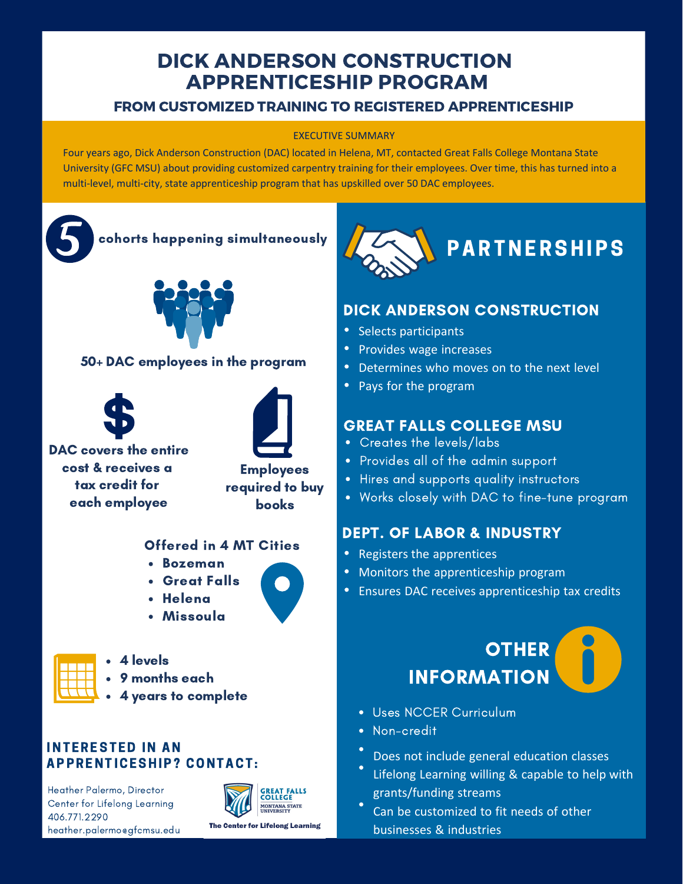## DICK ANDERSON CONSTRUCTION APPRENTICESHIP PROGRAM

### FROM CUSTOMIZED TRAINING TO REGISTERED APPRENTICESHIP

#### EXECUTIVE SUMMARY

Four years ago, Dick Anderson Construction (DAC) located in Helena, MT, contacted Great Falls College Montana State University (GFC MSU) about providing customized carpentry training for their employees. Over time, this has turned into a multi-level, multi-city, state apprenticeship program that has upskilled over 50 DAC employees.



#### 50+ DAC employees in the program





DAC covers the entire cost & receives a tax credit for each employee



#### Offered in 4 MT Cities

- Bozeman
- Great Falls
- Helena



- 4 levels
- 9 months each
- 4 years to complete

#### **INTERESTED IN AN** A P P R E N T I C E S H I P ? CON T A C T :

Heather Palermo, Director Center for Lifelong Learning 406.771.2290 heather.palermo@gfcmsu.edu





### DICK ANDERSON CONSTRUCTION

- Selects participants
- Provides wage increases
- Determines who moves on to the next level
- Pays for the program

### GREAT FALLS COLLEGE MSU

- Creates the levels/labs
- Provides all of the admin support
- Hires and supports quality instructors
- Works closely with DAC to fine-tune program

### DEPT. OF LABOR & INDUSTRY

- Registers the apprentices
- Monitors the apprenticeship program
- Ensures DAC receives apprenticeship tax credits

# **OTHER** INFORMATION

- Uses NCCER Curriculum
- Non-credit
- Does not include general education classes
- Lifelong Learning willing & capable to help with grants/funding streams
- Can be customized to fit needs of other businesses & industries